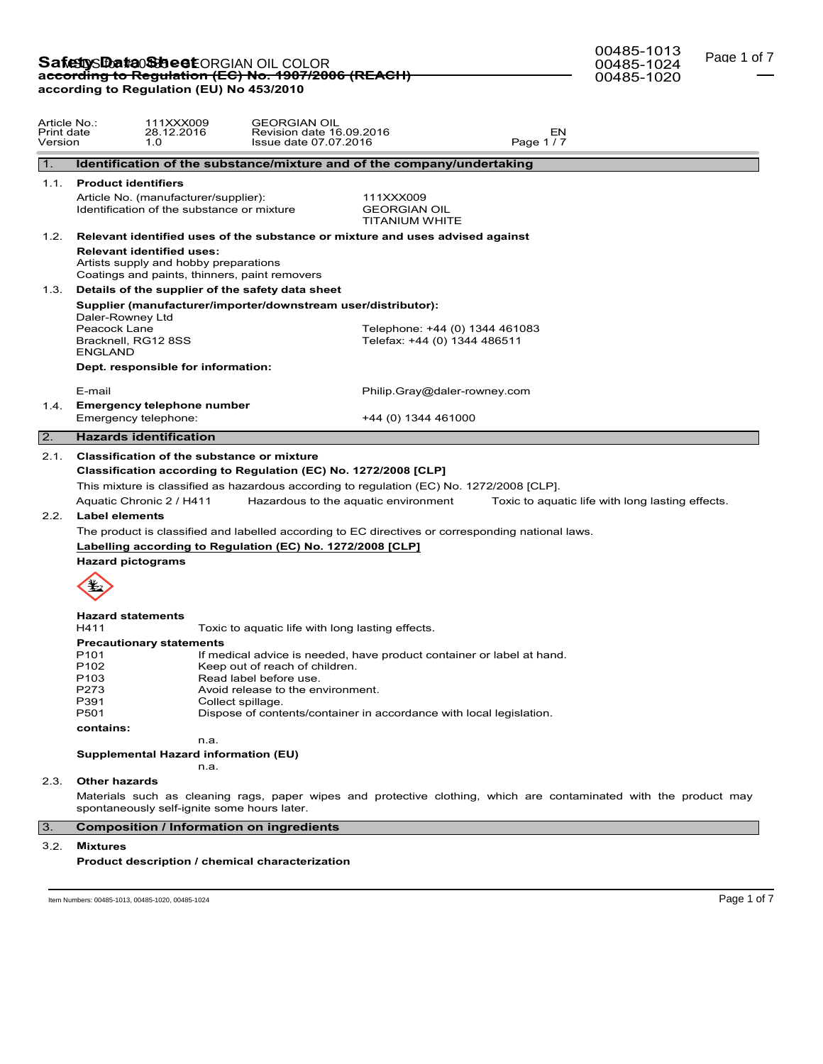## **Safetty Data Sheet** ORGIAN OIL COLOR<br>ac<del>cording to Regulation (EC) No. 1907/2006 (REACH)</del> **according to Regulation (EU) No 453/2010**

00485-1024

Page 1 of 7

00485-1013 00485-1020

| Article No.:<br>Print date<br>Version |                                                                                                                                                                                        | 111XXX009<br>28.12.2016<br>1.0                                                                                                         | <b>GEORGIAN OIL</b><br>Revision date 16.09.2016<br>Issue date 07.07.2016                                                                                                                                                                                                                                                                                                                                                                                                                                                                                                                                                                                                     |                                                                | Page 1/7 | EN                                                                                                                |  |  |  |
|---------------------------------------|----------------------------------------------------------------------------------------------------------------------------------------------------------------------------------------|----------------------------------------------------------------------------------------------------------------------------------------|------------------------------------------------------------------------------------------------------------------------------------------------------------------------------------------------------------------------------------------------------------------------------------------------------------------------------------------------------------------------------------------------------------------------------------------------------------------------------------------------------------------------------------------------------------------------------------------------------------------------------------------------------------------------------|----------------------------------------------------------------|----------|-------------------------------------------------------------------------------------------------------------------|--|--|--|
| $\mathbf{1}$ .                        |                                                                                                                                                                                        |                                                                                                                                        | Identification of the substance/mixture and of the company/undertaking                                                                                                                                                                                                                                                                                                                                                                                                                                                                                                                                                                                                       |                                                                |          |                                                                                                                   |  |  |  |
| 1.1.                                  | <b>Product identifiers</b>                                                                                                                                                             |                                                                                                                                        |                                                                                                                                                                                                                                                                                                                                                                                                                                                                                                                                                                                                                                                                              |                                                                |          |                                                                                                                   |  |  |  |
|                                       |                                                                                                                                                                                        | Article No. (manufacturer/supplier):<br>Identification of the substance or mixture                                                     |                                                                                                                                                                                                                                                                                                                                                                                                                                                                                                                                                                                                                                                                              | 111XXX009<br><b>GEORGIAN OIL</b><br><b>TITANIUM WHITE</b>      |          |                                                                                                                   |  |  |  |
| 1.2.                                  |                                                                                                                                                                                        |                                                                                                                                        | Relevant identified uses of the substance or mixture and uses advised against                                                                                                                                                                                                                                                                                                                                                                                                                                                                                                                                                                                                |                                                                |          |                                                                                                                   |  |  |  |
|                                       |                                                                                                                                                                                        | <b>Relevant identified uses:</b><br>Artists supply and hobby preparations<br>Coatings and paints, thinners, paint removers             |                                                                                                                                                                                                                                                                                                                                                                                                                                                                                                                                                                                                                                                                              |                                                                |          |                                                                                                                   |  |  |  |
| 1.3.                                  | Details of the supplier of the safety data sheet                                                                                                                                       |                                                                                                                                        |                                                                                                                                                                                                                                                                                                                                                                                                                                                                                                                                                                                                                                                                              |                                                                |          |                                                                                                                   |  |  |  |
|                                       |                                                                                                                                                                                        |                                                                                                                                        | Supplier (manufacturer/importer/downstream user/distributor):                                                                                                                                                                                                                                                                                                                                                                                                                                                                                                                                                                                                                |                                                                |          |                                                                                                                   |  |  |  |
|                                       | Daler-Rowney Ltd<br>Peacock Lane<br>Bracknell, RG12 8SS<br><b>ENGLAND</b>                                                                                                              |                                                                                                                                        |                                                                                                                                                                                                                                                                                                                                                                                                                                                                                                                                                                                                                                                                              | Telephone: +44 (0) 1344 461083<br>Telefax: +44 (0) 1344 486511 |          |                                                                                                                   |  |  |  |
|                                       |                                                                                                                                                                                        | Dept. responsible for information:                                                                                                     |                                                                                                                                                                                                                                                                                                                                                                                                                                                                                                                                                                                                                                                                              |                                                                |          |                                                                                                                   |  |  |  |
|                                       | E-mail                                                                                                                                                                                 |                                                                                                                                        |                                                                                                                                                                                                                                                                                                                                                                                                                                                                                                                                                                                                                                                                              | Philip.Gray@daler-rowney.com                                   |          |                                                                                                                   |  |  |  |
| 1.4.                                  |                                                                                                                                                                                        | <b>Emergency telephone number</b>                                                                                                      |                                                                                                                                                                                                                                                                                                                                                                                                                                                                                                                                                                                                                                                                              |                                                                |          |                                                                                                                   |  |  |  |
|                                       | Emergency telephone:                                                                                                                                                                   |                                                                                                                                        |                                                                                                                                                                                                                                                                                                                                                                                                                                                                                                                                                                                                                                                                              | +44 (0) 1344 461000                                            |          |                                                                                                                   |  |  |  |
| $\overline{2}$ .                      |                                                                                                                                                                                        | <b>Hazards identification</b>                                                                                                          |                                                                                                                                                                                                                                                                                                                                                                                                                                                                                                                                                                                                                                                                              |                                                                |          |                                                                                                                   |  |  |  |
| 2.1.<br>2.2.                          | <b>Label elements</b><br><b>Hazard pictograms</b><br><b>Hazard statements</b><br>H411<br>P <sub>101</sub><br>P <sub>102</sub><br>P <sub>103</sub><br>P273<br>P391<br>P501<br>contains: | Classification of the substance or mixture<br>Aquatic Chronic 2 / H411<br><b>Precautionary statements</b><br>Collect spillage.<br>n.a. | Classification according to Regulation (EC) No. 1272/2008 [CLP]<br>This mixture is classified as hazardous according to regulation (EC) No. 1272/2008 [CLP].<br>Hazardous to the aquatic environment<br>The product is classified and labelled according to EC directives or corresponding national laws.<br>Labelling according to Regulation (EC) No. 1272/2008 [CLP]<br>Toxic to aquatic life with long lasting effects.<br>If medical advice is needed, have product container or label at hand.<br>Keep out of reach of children.<br>Read label before use.<br>Avoid release to the environment.<br>Dispose of contents/container in accordance with local legislation. |                                                                |          | Toxic to aquatic life with long lasting effects.                                                                  |  |  |  |
|                                       | <b>Supplemental Hazard information (EU)</b><br>n.a.                                                                                                                                    |                                                                                                                                        |                                                                                                                                                                                                                                                                                                                                                                                                                                                                                                                                                                                                                                                                              |                                                                |          |                                                                                                                   |  |  |  |
| 2.3.                                  | <b>Other hazards</b>                                                                                                                                                                   |                                                                                                                                        |                                                                                                                                                                                                                                                                                                                                                                                                                                                                                                                                                                                                                                                                              |                                                                |          |                                                                                                                   |  |  |  |
|                                       |                                                                                                                                                                                        | spontaneously self-ignite some hours later.                                                                                            |                                                                                                                                                                                                                                                                                                                                                                                                                                                                                                                                                                                                                                                                              |                                                                |          | Materials such as cleaning rags, paper wipes and protective clothing, which are contaminated with the product may |  |  |  |
| 3.                                    |                                                                                                                                                                                        | <b>Composition / Information on ingredients</b>                                                                                        |                                                                                                                                                                                                                                                                                                                                                                                                                                                                                                                                                                                                                                                                              |                                                                |          |                                                                                                                   |  |  |  |
| 3.2.                                  | <b>Mixtures</b>                                                                                                                                                                        |                                                                                                                                        | Product description / chemical characterization                                                                                                                                                                                                                                                                                                                                                                                                                                                                                                                                                                                                                              |                                                                |          |                                                                                                                   |  |  |  |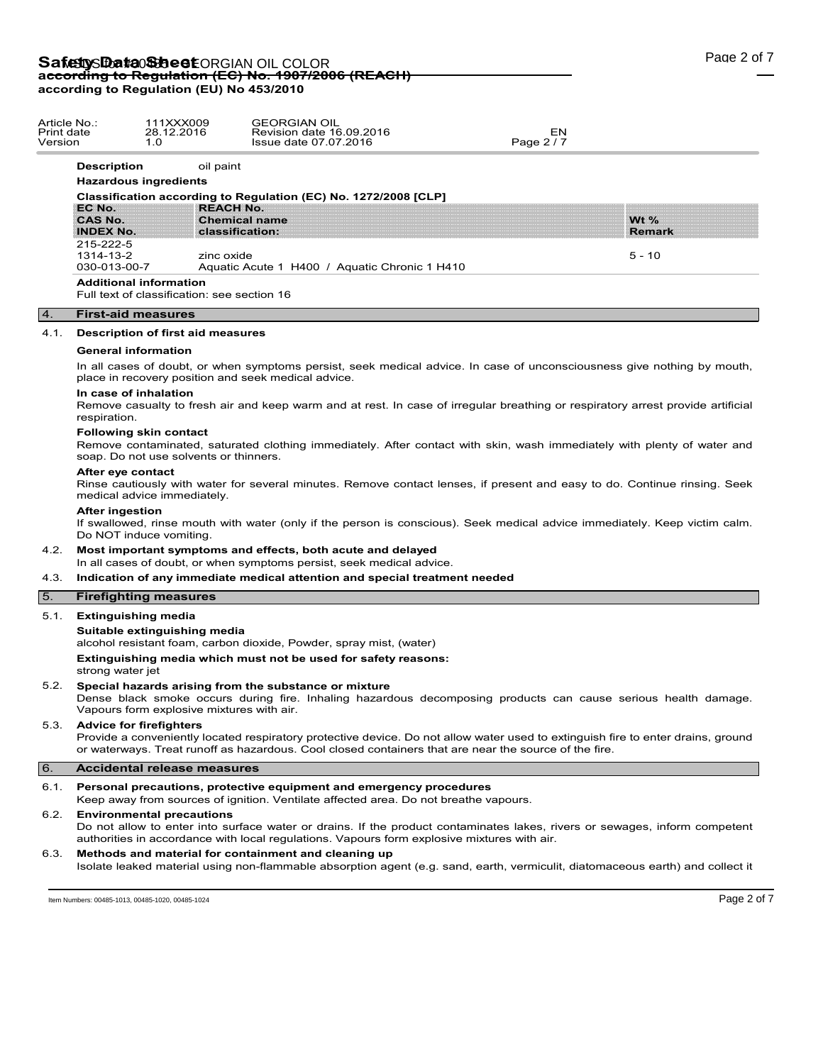## Safety S**Data Sheet** ORGIAN OIL COLOR **according to Regulation (EC) No. 1907/2006 (REACH) according to Regulation (EU) No 453/2010**

| Article No.∶<br>Print date<br>Version<br>1.0 | 111XXX009<br>28.12.2016                                         | <b>GEORGIAN OIL</b><br>Revision date 16.09.2016<br>Issue date 07.07.2016 | EN<br>Page 2/7 |               |  |
|----------------------------------------------|-----------------------------------------------------------------|--------------------------------------------------------------------------|----------------|---------------|--|
| <b>Description</b>                           | oil paint                                                       |                                                                          |                |               |  |
| <b>Hazardous ingredients</b>                 |                                                                 |                                                                          |                |               |  |
|                                              | Classification according to Regulation (EC) No. 1272/2008 [CLP] |                                                                          |                |               |  |
| EC No.                                       | <b>REACH No.</b>                                                |                                                                          |                |               |  |
| <b>CAS No.</b>                               | <b>Chemical name</b>                                            |                                                                          |                | Wt $%$        |  |
| <b>INDEX No.</b>                             | classification:                                                 |                                                                          |                | <b>Remark</b> |  |
| 215-222-5                                    |                                                                 |                                                                          |                |               |  |
| 1314-13-2                                    | zinc oxide                                                      |                                                                          |                | $5 - 10$      |  |
| 030-013-00-7                                 |                                                                 | Aquatic Acute 1 H400 / Aquatic Chronic 1 H410                            |                |               |  |

### 4. **First-aid measures**

### 4.1. **Description of first aid measures**

### **General information**

In all cases of doubt, or when symptoms persist, seek medical advice. In case of unconsciousness give nothing by mouth, place in recovery position and seek medical advice.

## **In case of inhalation**

Remove casualty to fresh air and keep warm and at rest. In case of irregular breathing or respiratory arrest provide artificial respiration.

### **Following skin contact**

Remove contaminated, saturated clothing immediately. After contact with skin, wash immediately with plenty of water and soap. Do not use solvents or thinners.

### **After eye contact**

Rinse cautiously with water for several minutes. Remove contact lenses, if present and easy to do. Continue rinsing. Seek medical advice immediately.

### **After ingestion**

If swallowed, rinse mouth with water (only if the person is conscious). Seek medical advice immediately. Keep victim calm. Do NOT induce vomiting.

### 4.2. **Most important symptoms and effects, both acute and delayed**

In all cases of doubt, or when symptoms persist, seek medical advice.

## 4.3. **Indication of any immediate medical attention and special treatment needed**

## 5. **Firefighting measures**

## 5.1. **Extinguishing media**

**Suitable extinguishing media**

alcohol resistant foam, carbon dioxide, Powder, spray mist, (water)

**Extinguishing media which must not be used for safety reasons:**

strong water jet

## 5.2. **Special hazards arising from the substance or mixture**

Dense black smoke occurs during fire. Inhaling hazardous decomposing products can cause serious health damage. Vapours form explosive mixtures with air.

### 5.3. **Advice for firefighters**

Provide a conveniently located respiratory protective device. Do not allow water used to extinguish fire to enter drains, ground or waterways. Treat runoff as hazardous. Cool closed containers that are near the source of the fire.

### 6. **Accidental release measures**

### 6.1. **Personal precautions, protective equipment and emergency procedures**

Keep away from sources of ignition. Ventilate affected area. Do not breathe vapours.

### 6.2. **Environmental precautions**

Do not allow to enter into surface water or drains. If the product contaminates lakes, rivers or sewages, inform competent authorities in accordance with local regulations. Vapours form explosive mixtures with air.

### 6.3. **Methods and material for containment and cleaning up**

Isolate leaked material using non-flammable absorption agent (e.g. sand, earth, vermiculit, diatomaceous earth) and collect it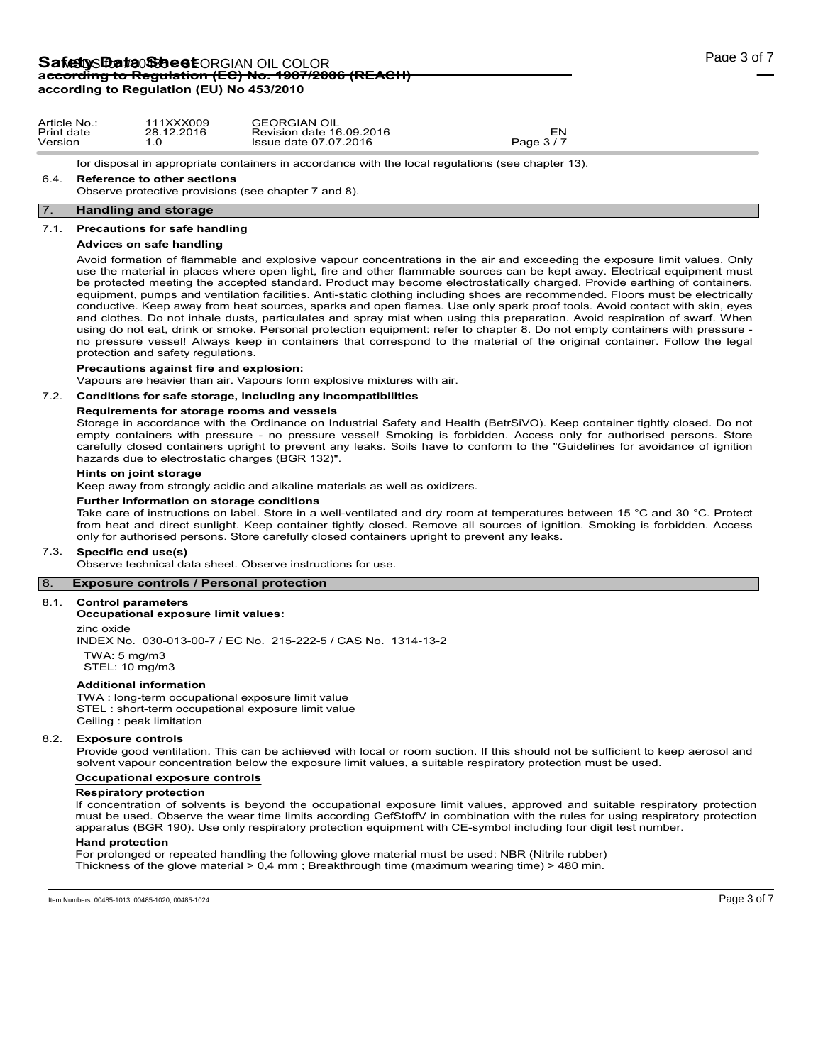## Safety S**Data Sheet** ORGIAN OIL COLOR **according to Regulation (EC) No. 1907/2006 (REACH) according to Regulation (EU) No 453/2010**

for disposal in appropriate containers in accordance with the local regulations (see chapter 13).

### 6.4. **Reference to other sections**

Observe protective provisions (see chapter 7 and 8).

### 7. **Handling and storage**

### 7.1. **Precautions for safe handling**

### **Advices on safe handling**

Avoid formation of flammable and explosive vapour concentrations in the air and exceeding the exposure limit values. Only use the material in places where open light, fire and other flammable sources can be kept away. Electrical equipment must be protected meeting the accepted standard. Product may become electrostatically charged. Provide earthing of containers, equipment, pumps and ventilation facilities. Anti-static clothing including shoes are recommended. Floors must be electrically conductive. Keep away from heat sources, sparks and open flames. Use only spark proof tools. Avoid contact with skin, eyes and clothes. Do not inhale dusts, particulates and spray mist when using this preparation. Avoid respiration of swarf. When using do not eat, drink or smoke. Personal protection equipment: refer to chapter 8. Do not empty containers with pressure no pressure vessel! Always keep in containers that correspond to the material of the original container. Follow the legal protection and safety regulations.

## **Precautions against fire and explosion:**

Vapours are heavier than air. Vapours form explosive mixtures with air.

### 7.2. **Conditions for safe storage, including any incompatibilities**

### **Requirements for storage rooms and vessels**

Storage in accordance with the Ordinance on Industrial Safety and Health (BetrSiVO). Keep container tightly closed. Do not empty containers with pressure - no pressure vessel! Smoking is forbidden. Access only for authorised persons. Store carefully closed containers upright to prevent any leaks. Soils have to conform to the "Guidelines for avoidance of ignition hazards due to electrostatic charges (BGR 132)".

### **Hints on joint storage**

Keep away from strongly acidic and alkaline materials as well as oxidizers.

### **Further information on storage conditions**

Take care of instructions on label. Store in a well-ventilated and dry room at temperatures between 15 °C and 30 °C. Protect from heat and direct sunlight. Keep container tightly closed. Remove all sources of ignition. Smoking is forbidden. Access only for authorised persons. Store carefully closed containers upright to prevent any leaks.

### 7.3. **Specific end use(s)**

Observe technical data sheet. Observe instructions for use.

## 8. **Exposure controls / Personal protection**

### 8.1. **Control parameters**

**Occupational exposure limit values:**

zinc oxide

INDEX No. 030-013-00-7 / EC No. 215-222-5 / CAS No. 1314-13-2 TWA: 5 mg/m3

STEL: 10 mg/m3

### **Additional information**

TWA : long-term occupational exposure limit value STEL : short-term occupational exposure limit value Ceiling : peak limitation

### 8.2. **Exposure controls**

Provide good ventilation. This can be achieved with local or room suction. If this should not be sufficient to keep aerosol and solvent vapour concentration below the exposure limit values, a suitable respiratory protection must be used.

### **Occupational exposure controls**

### **Respiratory protection**

If concentration of solvents is beyond the occupational exposure limit values, approved and suitable respiratory protection must be used. Observe the wear time limits according GefStoffV in combination with the rules for using respiratory protection apparatus (BGR 190). Use only respiratory protection equipment with CE-symbol including four digit test number.

## **Hand protection**

For prolonged or repeated handling the following glove material must be used: NBR (Nitrile rubber) Thickness of the glove material > 0,4 mm ; Breakthrough time (maximum wearing time) > 480 min.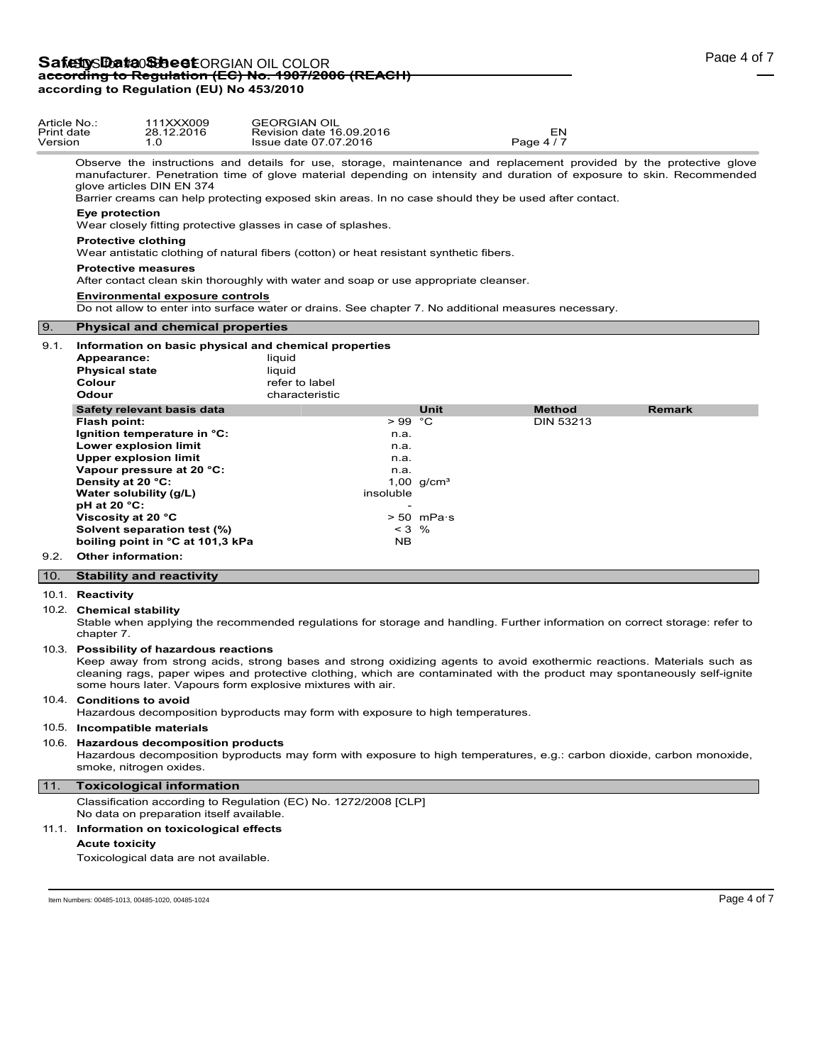## **Safetty Data Sheet** ORGIAN OIL COLOR<br>ac<del>cording to Regulation (EC) No. 1907/2006 (REACH)</del> **according to Regulation (EU) No 453/2010**

| Article No.:<br>Print date<br>Version       | 111XXX009<br>28.12.2016<br>1.0                                                                                                                                                                                                                                                         | <b>GEORGIAN OIL</b><br>Revision date 16.09.2016<br>Issue date 07.07.2016                                                                                                                                                                                                                                                                             |                                         | <b>EN</b><br>Page 4/7 |               |
|---------------------------------------------|----------------------------------------------------------------------------------------------------------------------------------------------------------------------------------------------------------------------------------------------------------------------------------------|------------------------------------------------------------------------------------------------------------------------------------------------------------------------------------------------------------------------------------------------------------------------------------------------------------------------------------------------------|-----------------------------------------|-----------------------|---------------|
|                                             | glove articles DIN EN 374                                                                                                                                                                                                                                                              | Observe the instructions and details for use, storage, maintenance and replacement provided by the protective glove<br>manufacturer. Penetration time of glove material depending on intensity and duration of exposure to skin. Recommended<br>Barrier creams can help protecting exposed skin areas. In no case should they be used after contact. |                                         |                       |               |
|                                             | Eye protection<br>Wear closely fitting protective glasses in case of splashes.                                                                                                                                                                                                         |                                                                                                                                                                                                                                                                                                                                                      |                                         |                       |               |
|                                             | <b>Protective clothing</b>                                                                                                                                                                                                                                                             | Wear antistatic clothing of natural fibers (cotton) or heat resistant synthetic fibers.                                                                                                                                                                                                                                                              |                                         |                       |               |
|                                             | <b>Protective measures</b>                                                                                                                                                                                                                                                             | After contact clean skin thoroughly with water and soap or use appropriate cleanser.                                                                                                                                                                                                                                                                 |                                         |                       |               |
|                                             | <b>Environmental exposure controls</b>                                                                                                                                                                                                                                                 | Do not allow to enter into surface water or drains. See chapter 7. No additional measures necessary.                                                                                                                                                                                                                                                 |                                         |                       |               |
| l 9.                                        | <b>Physical and chemical properties</b>                                                                                                                                                                                                                                                |                                                                                                                                                                                                                                                                                                                                                      |                                         |                       |               |
| 9.1.<br>Appearance:<br>Colour<br>Odour      | <b>Physical state</b>                                                                                                                                                                                                                                                                  | Information on basic physical and chemical properties<br>liguid<br>liquid<br>refer to label<br>characteristic                                                                                                                                                                                                                                        |                                         |                       |               |
|                                             | Safety relevant basis data                                                                                                                                                                                                                                                             |                                                                                                                                                                                                                                                                                                                                                      | <b>Unit</b>                             | <b>Method</b>         | <b>Remark</b> |
| Flash point:<br><b>pH</b> at 20 °C:<br>9.2. | Ignition temperature in °C:<br>Lower explosion limit<br><b>Upper explosion limit</b><br>Vapour pressure at 20 °C:<br>Density at 20 °C:<br>Water solubility (q/L)<br>Viscosity at 20 °C<br>Solvent separation test (%)<br>boiling point in °C at 101,3 kPa<br><b>Other information:</b> | $>99^\circ$ C<br>n.a.<br>n.a.<br>n.a.<br>n.a.<br>insoluble<br>$< 3$ %<br><b>NB</b>                                                                                                                                                                                                                                                                   | 1,00 $q/cm^{3}$<br>$> 50$ mPa $\cdot$ s | <b>DIN 53213</b>      |               |
| 10.                                         | <b>Stability and reactivity</b>                                                                                                                                                                                                                                                        |                                                                                                                                                                                                                                                                                                                                                      |                                         |                       |               |

### 10.1. **Reactivity**

## 10.2. **Chemical stability**

Stable when applying the recommended regulations for storage and handling. Further information on correct storage: refer to chapter 7.

### 10.3. **Possibility of hazardous reactions**

Keep away from strong acids, strong bases and strong oxidizing agents to avoid exothermic reactions. Materials such as cleaning rags, paper wipes and protective clothing, which are contaminated with the product may spontaneously self-ignite some hours later. Vapours form explosive mixtures with air.

### 10.4. **Conditions to avoid**

Hazardous decomposition byproducts may form with exposure to high temperatures.

### 10.5. **Incompatible materials**

### 10.6. **Hazardous decomposition products**

Hazardous decomposition byproducts may form with exposure to high temperatures, e.g.: carbon dioxide, carbon monoxide, smoke, nitrogen oxides.

### 11. **Toxicological information**

Classification according to Regulation (EC) No. 1272/2008 [CLP] No data on preparation itself available.

### 11.1. **Information on toxicological effects**

## **Acute toxicity**

Toxicological data are not available.

Item Numbers: 00485-1013, 00485-1020, 00485-1024 Page 4 of 7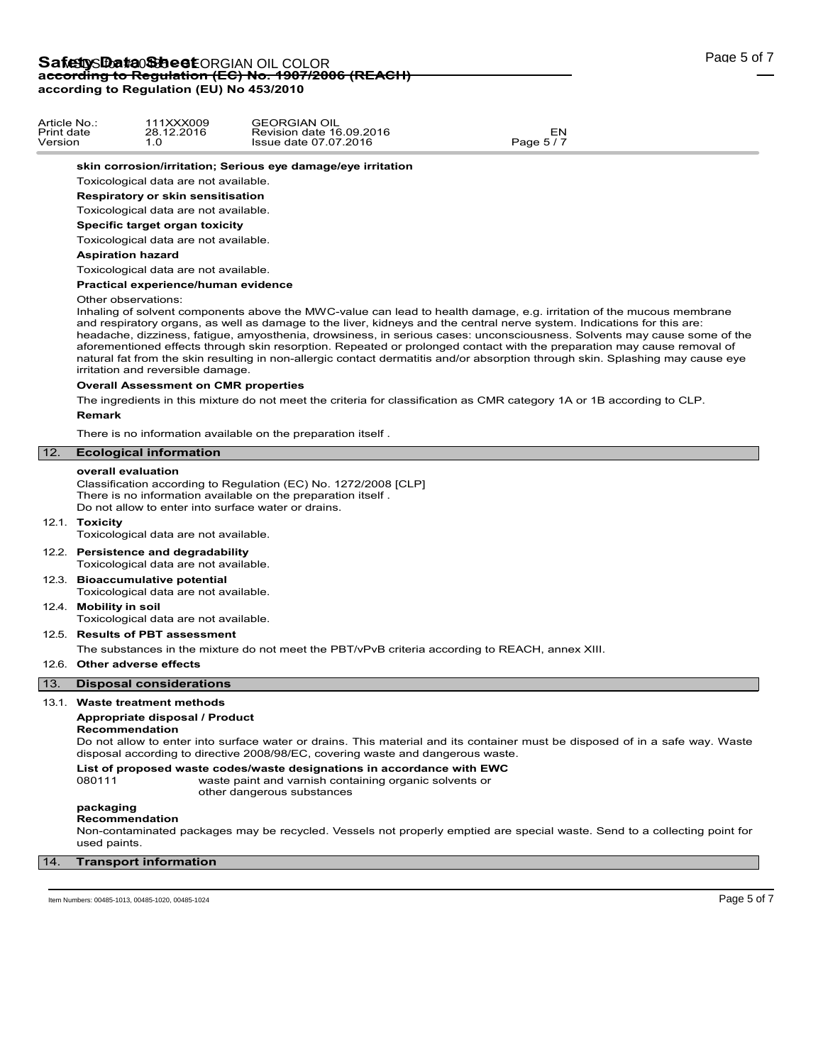### **skin corrosion/irritation; Serious eye damage/eye irritation**

Toxicological data are not available.

**Respiratory or skin sensitisation**

Toxicological data are not available.

## **Specific target organ toxicity**

Toxicological data are not available.

#### **Aspiration hazard**

Toxicological data are not available.

**Practical experience/human evidence**

#### Other observations:

Inhaling of solvent components above the MWC-value can lead to health damage, e.g. irritation of the mucous membrane and respiratory organs, as well as damage to the liver, kidneys and the central nerve system. Indications for this are: headache, dizziness, fatigue, amyosthenia, drowsiness, in serious cases: unconsciousness. Solvents may cause some of the aforementioned effects through skin resorption. Repeated or prolonged contact with the preparation may cause removal of natural fat from the skin resulting in non-allergic contact dermatitis and/or absorption through skin. Splashing may cause eye irritation and reversible damage.

### **Overall Assessment on CMR properties**

The ingredients in this mixture do not meet the criteria for classification as CMR category 1A or 1B according to CLP.

### **Remark**

There is no information available on the preparation itself .

## 12. **Ecological information**

### **overall evaluation**

Classification according to Regulation (EC) No. 1272/2008 [CLP] There is no information available on the preparation itself . Do not allow to enter into surface water or drains.

### 12.1. **Toxicity**

Toxicological data are not available.

### 12.2. **Persistence and degradability**

Toxicological data are not available.

12.3. **Bioaccumulative potential** Toxicological data are not available.

## 12.4. **Mobility in soil**

Toxicological data are not available.

### 12.5. **Results of PBT assessment**

The substances in the mixture do not meet the PBT/vPvB criteria according to REACH, annex XIII.

## 12.6. **Other adverse effects**

## 13. **Disposal considerations**

## 13.1. **Waste treatment methods**

## **Appropriate disposal / Product**

### **Recommendation**

Do not allow to enter into surface water or drains. This material and its container must be disposed of in a safe way. Waste disposal according to directive 2008/98/EC, covering waste and dangerous waste.

### **List of proposed waste codes/waste designations in accordance with EWC**

080111 waste paint and varnish containing organic solvents or other dangerous substances

#### **packaging Recommendation**

Non-contaminated packages may be recycled. Vessels not properly emptied are special waste. Send to a collecting point for used paints.

### 14. **Transport information**

Item Numbers: 00485-1013, 00485-1020, 00485-1024 Page 5 of 7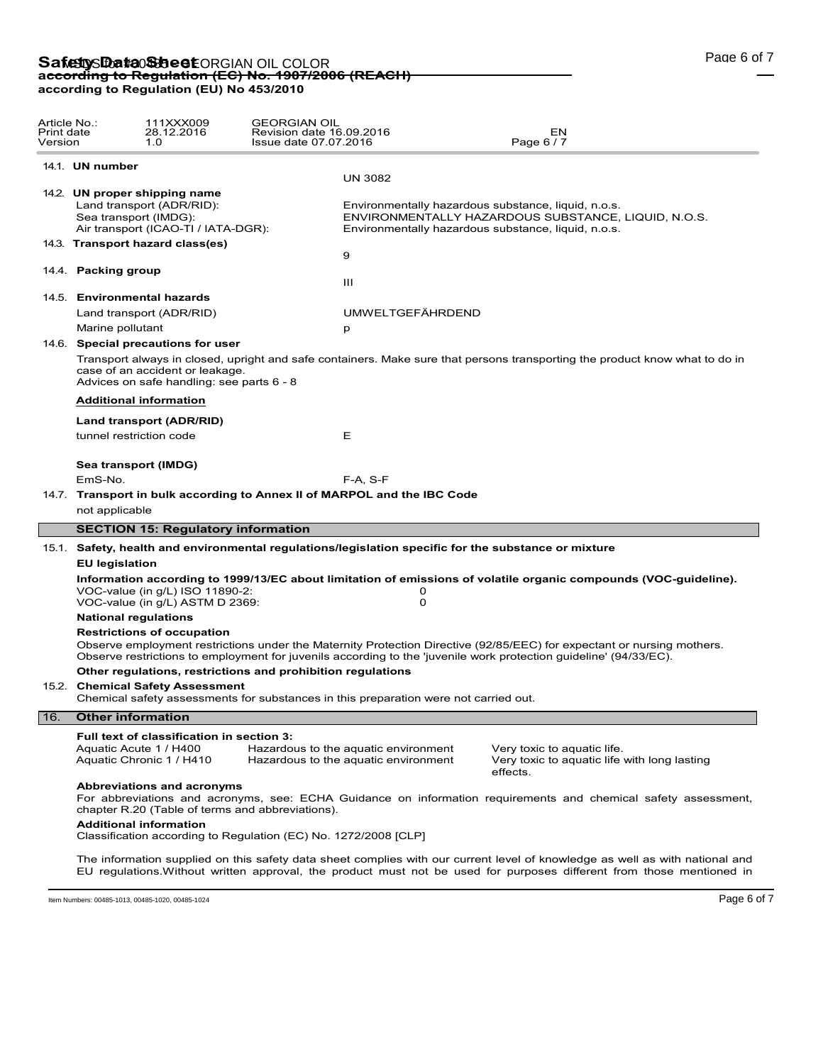| Article No.:<br>Print date<br>Version |                                                                                                                                                                                                                                                                                  | 111XXX009<br>28.12.2016<br>1.0                                               | <b>GEORGIAN OIL</b><br>Revision date 16.09.2016<br>Issue date 07.07.2016 |                                                                                      | EN<br>Page 6 / 7                                                                                                             |  |  |  |
|---------------------------------------|----------------------------------------------------------------------------------------------------------------------------------------------------------------------------------------------------------------------------------------------------------------------------------|------------------------------------------------------------------------------|--------------------------------------------------------------------------|--------------------------------------------------------------------------------------|------------------------------------------------------------------------------------------------------------------------------|--|--|--|
|                                       | 14.1. UN number                                                                                                                                                                                                                                                                  |                                                                              |                                                                          |                                                                                      |                                                                                                                              |  |  |  |
|                                       |                                                                                                                                                                                                                                                                                  | 14.2. UN proper shipping name                                                |                                                                          | <b>UN 3082</b>                                                                       |                                                                                                                              |  |  |  |
|                                       |                                                                                                                                                                                                                                                                                  | Land transport (ADR/RID):                                                    |                                                                          |                                                                                      | Environmentally hazardous substance, liquid, n.o.s.                                                                          |  |  |  |
|                                       |                                                                                                                                                                                                                                                                                  | Sea transport (IMDG):                                                        |                                                                          |                                                                                      | ENVIRONMENTALLY HAZARDOUS SUBSTANCE, LIQUID, N.O.S.                                                                          |  |  |  |
|                                       |                                                                                                                                                                                                                                                                                  | Air transport (ICAO-TI / IATA-DGR):                                          |                                                                          |                                                                                      | Environmentally hazardous substance, liquid, n.o.s.                                                                          |  |  |  |
|                                       |                                                                                                                                                                                                                                                                                  | 14.3. Transport hazard class(es)                                             |                                                                          | 9                                                                                    |                                                                                                                              |  |  |  |
|                                       | 14.4. Packing group                                                                                                                                                                                                                                                              |                                                                              |                                                                          |                                                                                      |                                                                                                                              |  |  |  |
|                                       |                                                                                                                                                                                                                                                                                  |                                                                              |                                                                          | Ш                                                                                    |                                                                                                                              |  |  |  |
|                                       |                                                                                                                                                                                                                                                                                  | 14.5. Environmental hazards                                                  |                                                                          |                                                                                      |                                                                                                                              |  |  |  |
|                                       |                                                                                                                                                                                                                                                                                  | Land transport (ADR/RID)                                                     |                                                                          | <b>UMWELTGEFÄHRDEND</b>                                                              |                                                                                                                              |  |  |  |
|                                       | Marine pollutant                                                                                                                                                                                                                                                                 |                                                                              |                                                                          | p                                                                                    |                                                                                                                              |  |  |  |
|                                       |                                                                                                                                                                                                                                                                                  | 14.6. Special precautions for user                                           |                                                                          |                                                                                      |                                                                                                                              |  |  |  |
|                                       |                                                                                                                                                                                                                                                                                  | case of an accident or leakage.<br>Advices on safe handling: see parts 6 - 8 |                                                                          |                                                                                      | Transport always in closed, upright and safe containers. Make sure that persons transporting the product know what to do in  |  |  |  |
|                                       |                                                                                                                                                                                                                                                                                  | <b>Additional information</b>                                                |                                                                          |                                                                                      |                                                                                                                              |  |  |  |
|                                       | Land transport (ADR/RID)                                                                                                                                                                                                                                                         |                                                                              |                                                                          |                                                                                      |                                                                                                                              |  |  |  |
|                                       |                                                                                                                                                                                                                                                                                  | tunnel restriction code                                                      |                                                                          | Е                                                                                    |                                                                                                                              |  |  |  |
|                                       |                                                                                                                                                                                                                                                                                  | Sea transport (IMDG)                                                         |                                                                          |                                                                                      |                                                                                                                              |  |  |  |
|                                       | EmS-No.                                                                                                                                                                                                                                                                          |                                                                              |                                                                          | $F-A, S-F$                                                                           |                                                                                                                              |  |  |  |
|                                       |                                                                                                                                                                                                                                                                                  |                                                                              |                                                                          | 14.7. Transport in bulk according to Annex II of MARPOL and the IBC Code             |                                                                                                                              |  |  |  |
|                                       | not applicable                                                                                                                                                                                                                                                                   |                                                                              |                                                                          |                                                                                      |                                                                                                                              |  |  |  |
|                                       |                                                                                                                                                                                                                                                                                  | <b>SECTION 15: Regulatory information</b>                                    |                                                                          |                                                                                      |                                                                                                                              |  |  |  |
|                                       |                                                                                                                                                                                                                                                                                  |                                                                              |                                                                          |                                                                                      | 15.1. Safety, health and environmental regulations/legislation specific for the substance or mixture                         |  |  |  |
|                                       | <b>EU legislation</b>                                                                                                                                                                                                                                                            |                                                                              |                                                                          |                                                                                      |                                                                                                                              |  |  |  |
|                                       |                                                                                                                                                                                                                                                                                  | VOC-value (in g/L) ISO 11890-2:<br>VOC-value (in g/L) ASTM D 2369:           |                                                                          | 0<br>0                                                                               | Information according to 1999/13/EC about limitation of emissions of volatile organic compounds (VOC-guideline).             |  |  |  |
|                                       |                                                                                                                                                                                                                                                                                  | <b>National regulations</b>                                                  |                                                                          |                                                                                      |                                                                                                                              |  |  |  |
|                                       | <b>Restrictions of occupation</b><br>Observe employment restrictions under the Maternity Protection Directive (92/85/EEC) for expectant or nursing mothers.<br>Observe restrictions to employment for juvenils according to the 'juvenile work protection guideline' (94/33/EC). |                                                                              |                                                                          |                                                                                      |                                                                                                                              |  |  |  |
|                                       |                                                                                                                                                                                                                                                                                  |                                                                              | Other regulations, restrictions and prohibition regulations              |                                                                                      |                                                                                                                              |  |  |  |
|                                       |                                                                                                                                                                                                                                                                                  | 15.2. Chemical Safety Assessment                                             |                                                                          | Chemical safety assessments for substances in this preparation were not carried out. |                                                                                                                              |  |  |  |
| 16.                                   | <b>Other information</b>                                                                                                                                                                                                                                                         |                                                                              |                                                                          |                                                                                      |                                                                                                                              |  |  |  |
|                                       |                                                                                                                                                                                                                                                                                  | Full text of classification in section 3:                                    |                                                                          |                                                                                      |                                                                                                                              |  |  |  |
|                                       |                                                                                                                                                                                                                                                                                  | Aquatic Acute 1 / H400<br>Aquatic Chronic 1 / H410                           |                                                                          | Hazardous to the aquatic environment<br>Hazardous to the aquatic environment         | Very toxic to aquatic life.<br>Very toxic to aquatic life with long lasting<br>effects.                                      |  |  |  |
|                                       |                                                                                                                                                                                                                                                                                  | <b>Abbreviations and acronyms</b>                                            | chapter R.20 (Table of terms and abbreviations).                         |                                                                                      | For abbreviations and acronyms, see: ECHA Guidance on information requirements and chemical safety assessment,               |  |  |  |
|                                       |                                                                                                                                                                                                                                                                                  | <b>Additional information</b>                                                | Classification according to Regulation (EC) No. 1272/2008 [CLP]          |                                                                                      |                                                                                                                              |  |  |  |
|                                       |                                                                                                                                                                                                                                                                                  |                                                                              |                                                                          |                                                                                      | The information supplied on this safety data sheet complies with our current level of knowledge as well as with pational and |  |  |  |

The information supplied on this safety data sheet complies with our current level of knowledge as well as with national and EU regulations.Without written approval, the product must not be used for purposes different from those mentioned in